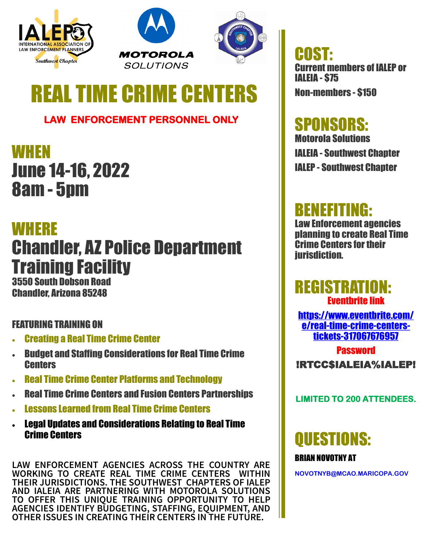





# **REAL TIME CRIME CENT**

### **LAW ENFORCEMENT PERSONNEL ONLY**

**WHEN** June 14-16, 2022 8am - 5pm

### WHERE

## Chandler, AZ Police Department Training Facility

3550 South Dobson Road Chandler, Arizona 85248

#### FEATURING TRAINING ON

- Creating a Real Time Crime Center
- Budget and Staffing Considerations for Real Time Crime **Centers**
- **Real Time Crime Center Platforms and Technology**
- Real Time Crime Centers and Fusion Centers Partnerships
- Lessons Learned from Real Time Crime Centers
- Legal Updates and Considerations Relating to Real Time Crime Centers

**LAW ENFORCEMENT AGENCIES ACROSS THE COUNTRY ARE WORKING TO CREATE REAL TIME CRIME CENTERS WITHIN THEIR JURISDICTIONS. THE SOUTHWEST CHAPTERS OF IALEP AND IALEIA ARE PARTNERING WITH MOTOROLA SOLUTIONS TO OFFER THIS UNIQUE TRAINING OPPORTUNITY TO HELP AGENCIES IDENTIFY BUDGETING, STAFFING, EQUIPMENT, AND OTHER ISSUES IN CREATING THEIR CENTERS IN THE FUTURE.** 

COST: Current members of IALEP or IALEIA - \$75 Non-members - \$150

## SPONSORS:

Motorola Solutions IALEIA - Southwest Chapter IALEP - Southwest Chapter

## BENEFITING:

Law Enforcement agencies planning to create Real Time Crime Centers for their jurisdiction.

### REGISTRATION: Eventbrite link

[https://www.eventbrite.com/](https://www.eventbrite.com/e/real-time-crime-centers-tickets-317067676957) e/real-time-crime-[centers](https://www.eventbrite.com/e/real-time-crime-centers-tickets-317067676957)tickets-[317067676957](https://www.eventbrite.com/e/real-time-crime-centers-tickets-317067676957)

**Password** !RTCC\$IALEIA%IALEP!

#### **LIMITED TO 200 ATTENDEES.**

## QUESTIONS:

#### BRIAN NOVOTNY AT

**NOVOTNYB@MCAO.MARICOPA.GOV**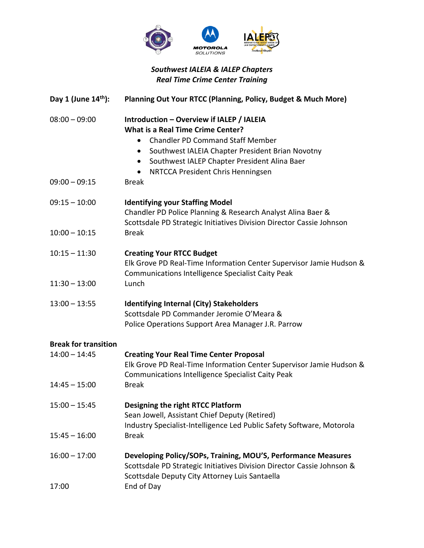

#### *Southwest IALEIA & IALEP Chapters Real Time Crime Center Training*

| Day 1 (June $14th$ ):                                             | Planning Out Your RTCC (Planning, Policy, Budget & Much More)                                                                                                                                                                                                                                                                                 |
|-------------------------------------------------------------------|-----------------------------------------------------------------------------------------------------------------------------------------------------------------------------------------------------------------------------------------------------------------------------------------------------------------------------------------------|
| $08:00 - 09:00$<br>$09:00 - 09:15$                                | Introduction - Overview if IALEP / IALEIA<br><b>What is a Real Time Crime Center?</b><br><b>Chandler PD Command Staff Member</b><br>$\bullet$<br>Southwest IALEIA Chapter President Brian Novotny<br>$\bullet$<br>Southwest IALEP Chapter President Alina Baer<br>$\bullet$<br>NRTCCA President Chris Henningsen<br>$\bullet$<br><b>Break</b> |
| $09:15 - 10:00$<br>$10:00 - 10:15$                                | <b>Identifying your Staffing Model</b><br>Chandler PD Police Planning & Research Analyst Alina Baer &<br>Scottsdale PD Strategic Initiatives Division Director Cassie Johnson<br><b>Break</b>                                                                                                                                                 |
| $10:15 - 11:30$<br>$11:30 - 13:00$                                | <b>Creating Your RTCC Budget</b><br>Elk Grove PD Real-Time Information Center Supervisor Jamie Hudson &<br>Communications Intelligence Specialist Caity Peak<br>Lunch                                                                                                                                                                         |
| $13:00 - 13:55$                                                   | <b>Identifying Internal (City) Stakeholders</b><br>Scottsdale PD Commander Jeromie O'Meara &<br>Police Operations Support Area Manager J.R. Parrow                                                                                                                                                                                            |
| <b>Break for transition</b><br>$14:00 - 14:45$<br>$14:45 - 15:00$ | <b>Creating Your Real Time Center Proposal</b><br>Elk Grove PD Real-Time Information Center Supervisor Jamie Hudson &<br>Communications Intelligence Specialist Caity Peak<br><b>Break</b>                                                                                                                                                    |
| $15:00 - 15:45$<br>$15:45 - 16:00$                                | Designing the right RTCC Platform<br>Sean Jowell, Assistant Chief Deputy (Retired)<br>Industry Specialist-Intelligence Led Public Safety Software, Motorola<br><b>Break</b>                                                                                                                                                                   |
| $16:00 - 17:00$<br>17:00                                          | Developing Policy/SOPs, Training, MOU'S, Performance Measures<br>Scottsdale PD Strategic Initiatives Division Director Cassie Johnson &<br>Scottsdale Deputy City Attorney Luis Santaella<br>End of Day                                                                                                                                       |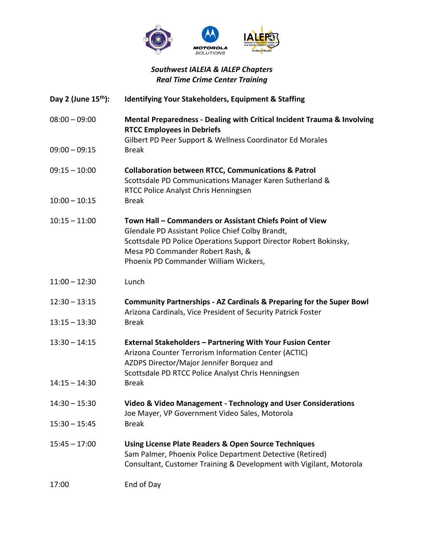

#### *Southwest IALEIA & IALEP Chapters Real Time Crime Center Training*

- **Day 2 (June 15th): Identifying Your Stakeholders, Equipment & Staffing**
- 08:00 09:00 **Mental Preparedness - Dealing with Critical Incident Trauma & Involving RTCC Employees in Debriefs**
- Gilbert PD Peer Support & Wellness Coordinator Ed Morales 09:00 – 09:15 Break
- 09:15 10:00 **Collaboration between RTCC, Communications & Patrol** Scottsdale PD Communications Manager Karen Sutherland & RTCC Police Analyst Chris Henningsen
- 10:00 10:15 Break
- 10:15 11:00 **Town Hall – Commanders or Assistant Chiefs Point of View** Glendale PD Assistant Police Chief Colby Brandt, Scottsdale PD Police Operations Support Director Robert Bokinsky, Mesa PD Commander Robert Rash, & Phoenix PD Commander William Wickers,
- 11:00 12:30 Lunch
- 12:30 13:15 **Community Partnerships - AZ Cardinals & Preparing for the Super Bowl** Arizona Cardinals, Vice President of Security Patrick Foster 13:15 – 13:30 Break
- 13:30 14:15 **External Stakeholders – Partnering With Your Fusion Center** Arizona Counter Terrorism Information Center (ACTIC) AZDPS Director/Major Jennifer Borquez and Scottsdale PD RTCC Police Analyst Chris Henningsen
- 14:15 14:30 Break
- 14:30 15:30 **Video & Video Management - Technology and User Considerations** Joe Mayer, VP Government Video Sales, Motorola
- 15:30 15:45 Break
- 15:45 17:00 **Using License Plate Readers & Open Source Techniques** Sam Palmer, Phoenix Police Department Detective (Retired) Consultant, Customer Training & Development with Vigilant, Motorola

<sup>17:00</sup> End of Day